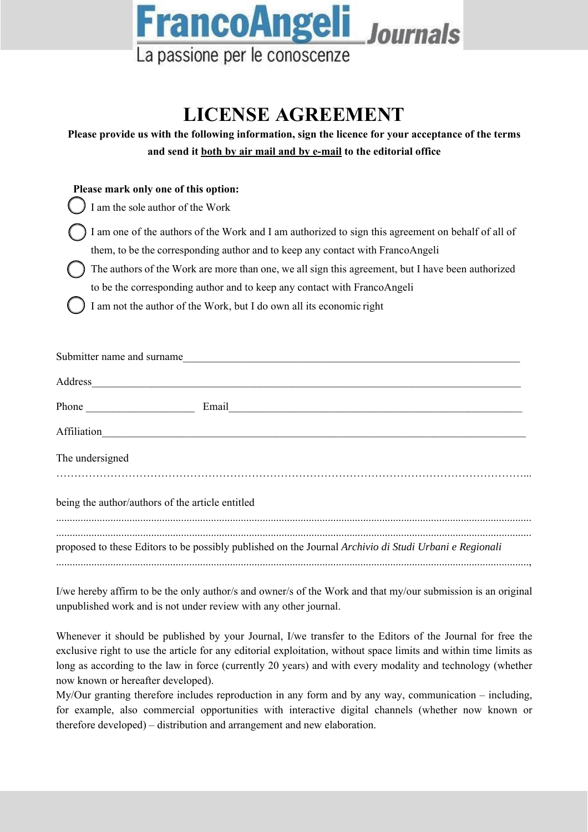

## **LICENSE AGREEMENT**

| Please provide us with the following information, sign the licence for your acceptance of the terms<br>and send it both by air mail and by e-mail to the editorial office |
|---------------------------------------------------------------------------------------------------------------------------------------------------------------------------|
| Please mark only one of this option:                                                                                                                                      |
| I am the sole author of the Work                                                                                                                                          |
| I am one of the authors of the Work and I am authorized to sign this agreement on behalf of all of                                                                        |
| them, to be the corresponding author and to keep any contact with FrancoAngeli                                                                                            |
| The authors of the Work are more than one, we all sign this agreement, but I have been authorized                                                                         |
| to be the corresponding author and to keep any contact with FrancoAngeli                                                                                                  |
| I am not the author of the Work, but I do own all its economic right                                                                                                      |
| Submitter name and surname                                                                                                                                                |
|                                                                                                                                                                           |
| Affiliation Affiliation                                                                                                                                                   |
| The undersigned                                                                                                                                                           |
| being the author/authors of the article entitled                                                                                                                          |
| proposed to these Editors to be possibly published on the Journal Archivio di Studi Urbani e Regionali                                                                    |

I/we hereby affirm to be the only author/s and owner/s of the Work and that my/our submission is an original unpublished work and is not under review with any other journal.

Whenever it should be published by your Journal, I/we transfer to the Editors of the Journal for free the exclusive right to use the article for any editorial exploitation, without space limits and within time limits as long as according to the law in force (currently 20 years) and with every modality and technology (whether now known or hereafter developed).

My/Our granting therefore includes reproduction in any form and by any way, communication – including, for example, also commercial opportunities with interactive digital channels (whether now known or therefore developed) – distribution and arrangement and new elaboration.